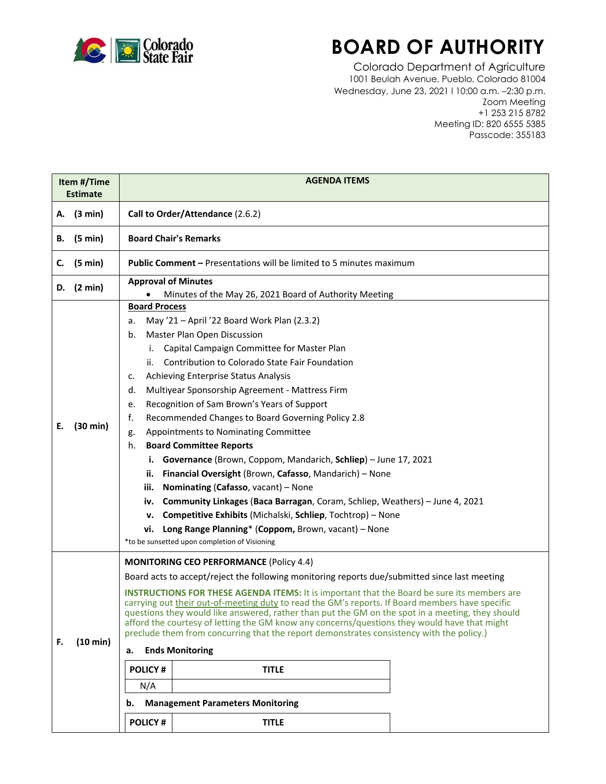

## **BOARD OF AUTHORITY**

Colorado Department of Agriculture 1001 Beulah Avenue, Pueblo, Colorado 81004 Wednesday, June 23, 2021 l 10:00 a.m. –2:30 p.m. Zoom Meeting +1 253 215 8782 Meeting ID: 820 6555 5385 Passcode: 355183

| Item #/Time<br><b>Estimate</b> |                   | <b>AGENDA ITEMS</b>                                                                                                                                                                                                                                                                                                                                                                                                                                                                                                                                                                                                                                                                                                                                                                                                                                                                                                                                                                                    |  |
|--------------------------------|-------------------|--------------------------------------------------------------------------------------------------------------------------------------------------------------------------------------------------------------------------------------------------------------------------------------------------------------------------------------------------------------------------------------------------------------------------------------------------------------------------------------------------------------------------------------------------------------------------------------------------------------------------------------------------------------------------------------------------------------------------------------------------------------------------------------------------------------------------------------------------------------------------------------------------------------------------------------------------------------------------------------------------------|--|
|                                | A. (3 min)        | Call to Order/Attendance (2.6.2)                                                                                                                                                                                                                                                                                                                                                                                                                                                                                                                                                                                                                                                                                                                                                                                                                                                                                                                                                                       |  |
| В.                             | (5 min)           | <b>Board Chair's Remarks</b>                                                                                                                                                                                                                                                                                                                                                                                                                                                                                                                                                                                                                                                                                                                                                                                                                                                                                                                                                                           |  |
| C.                             | $(5 \text{ min})$ | <b>Public Comment - Presentations will be limited to 5 minutes maximum</b>                                                                                                                                                                                                                                                                                                                                                                                                                                                                                                                                                                                                                                                                                                                                                                                                                                                                                                                             |  |
|                                | D. $(2 min)$      | <b>Approval of Minutes</b><br>Minutes of the May 26, 2021 Board of Authority Meeting                                                                                                                                                                                                                                                                                                                                                                                                                                                                                                                                                                                                                                                                                                                                                                                                                                                                                                                   |  |
| Е.                             | (30 min)          | <b>Board Process</b><br>May '21 - April '22 Board Work Plan (2.3.2)<br>а.<br>Master Plan Open Discussion<br>b.<br>Capital Campaign Committee for Master Plan<br>i.<br>Contribution to Colorado State Fair Foundation<br>ii.<br>Achieving Enterprise Status Analysis<br>c.<br>Multiyear Sponsorship Agreement - Mattress Firm<br>d.<br>Recognition of Sam Brown's Years of Support<br>e.<br>Recommended Changes to Board Governing Policy 2.8<br>f.<br>Appointments to Nominating Committee<br>g.<br><b>Board Committee Reports</b><br>h.<br>Governance (Brown, Coppom, Mandarich, Schliep) - June 17, 2021<br>i.<br>Financial Oversight (Brown, Cafasso, Mandarich) - None<br>ii.<br>iii.<br>Nominating (Cafasso, vacant) - None<br>Community Linkages (Baca Barragan, Coram, Schliep, Weathers) - June 4, 2021<br>iv.<br>v. Competitive Exhibits (Michalski, Schliep, Tochtrop) - None<br>Long Range Planning* (Coppom, Brown, vacant) - None<br>vi.<br>*to be sunsetted upon completion of Visioning |  |
| F.                             | (10 min)          | <b>MONITORING CEO PERFORMANCE (Policy 4.4)</b><br>Board acts to accept/reject the following monitoring reports due/submitted since last meeting<br><b>INSTRUCTIONS FOR THESE AGENDA ITEMS:</b> It is important that the Board be sure its members are<br>carrying out their out-of-meeting duty to read the GM's reports. If Board members have specific<br>questions they would like answered, rather than put the GM on the spot in a meeting, they should<br>afford the courtesy of letting the GM know any concerns/questions they would have that might<br>preclude them from concurring that the report demonstrates consistency with the policy.)<br><b>Ends Monitoring</b><br>a.<br><b>POLICY#</b><br><b>TITLE</b><br>N/A<br><b>Management Parameters Monitoring</b><br>b.<br><b>POLICY#</b><br><b>TITLE</b>                                                                                                                                                                                   |  |